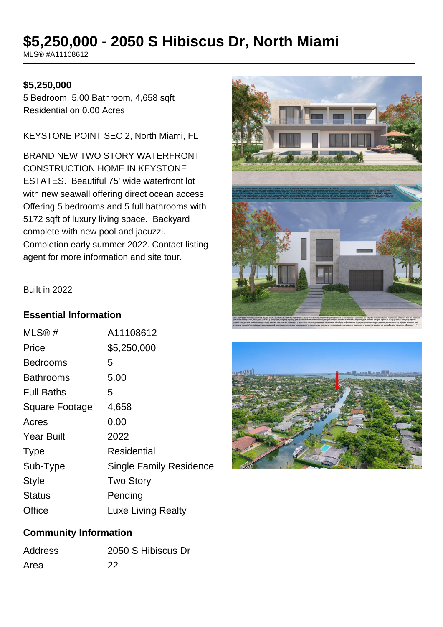# **\$5,250,000 - 2050 S Hibiscus Dr, North Miami**

MLS® #A11108612

#### **\$5,250,000**

5 Bedroom, 5.00 Bathroom, 4,658 sqft Residential on 0.00 Acres

KEYSTONE POINT SEC 2, North Miami, FL

BRAND NEW TWO STORY WATERFRONT CONSTRUCTION HOME IN KEYSTONE ESTATES. Beautiful 75' wide waterfront lot with new seawall offering direct ocean access. Offering 5 bedrooms and 5 full bathrooms with 5172 sqft of luxury living space. Backyard complete with new pool and jacuzzi. Completion early summer 2022. Contact listing agent for more information and site tour.





#### Built in 2022

#### **Essential Information**

| MLS@#                 | A11108612                      |
|-----------------------|--------------------------------|
| Price                 | \$5,250,000                    |
| Bedrooms              | 5                              |
| Bathrooms             | 5.00                           |
| <b>Full Baths</b>     | 5                              |
| <b>Square Footage</b> | 4,658                          |
| Acres                 | 0.00                           |
| <b>Year Built</b>     | 2022                           |
| <b>Type</b>           | Residential                    |
| Sub-Type              | <b>Single Family Residence</b> |
| <b>Style</b>          | <b>Two Story</b>               |
| Status                | Pending                        |
| Office                | Luxe Living Realty             |

#### **Community Information**

| <b>Address</b> | 2050 S Hibiscus Dr |
|----------------|--------------------|
| Area           | 22                 |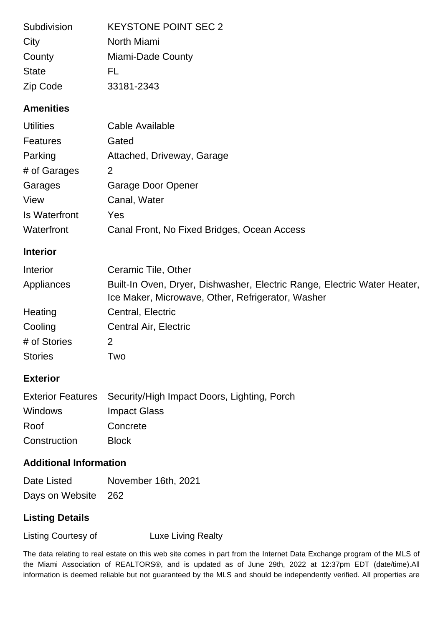| Subdivision      | <b>KEYSTONE POINT SEC 2</b> |
|------------------|-----------------------------|
| City             | North Miami                 |
| County           | Miami-Dade County           |
| <b>State</b>     | FL.                         |
| Zip Code         | 33181-2343                  |
| <b>Amenities</b> |                             |

| <b>Utilities</b>     | Cable Available                             |
|----------------------|---------------------------------------------|
| Features             | Gated                                       |
| Parking              | Attached, Driveway, Garage                  |
| # of Garages         | 2                                           |
| Garages              | <b>Garage Door Opener</b>                   |
| View                 | Canal, Water                                |
| <b>Is Waterfront</b> | Yes                                         |
| Waterfront           | Canal Front, No Fixed Bridges, Ocean Access |

#### **Interior**

| Interior       | Ceramic Tile, Other                                                                                                           |
|----------------|-------------------------------------------------------------------------------------------------------------------------------|
| Appliances     | Built-In Oven, Dryer, Dishwasher, Electric Range, Electric Water Heater,<br>Ice Maker, Microwave, Other, Refrigerator, Washer |
| Heating        | Central, Electric                                                                                                             |
| Cooling        | Central Air, Electric                                                                                                         |
| # of Stories   | 2                                                                                                                             |
| <b>Stories</b> | Two                                                                                                                           |

### **Exterior**

|                | Exterior Features Security/High Impact Doors, Lighting, Porch |
|----------------|---------------------------------------------------------------|
| <b>Windows</b> | Impact Glass                                                  |
| Roof           | Concrete                                                      |
| Construction   | <b>Block</b>                                                  |

## **Additional Information**

| Date Listed         | November 16th, 2021 |
|---------------------|---------------------|
| Days on Website 262 |                     |

### **Listing Details**

Listing Courtesy of **Luxe Living Realty** 

The data relating to real estate on this web site comes in part from the Internet Data Exchange program of the MLS of the Miami Association of REALTORS®, and is updated as of June 29th, 2022 at 12:37pm EDT (date/time).All information is deemed reliable but not guaranteed by the MLS and should be independently verified. All properties are